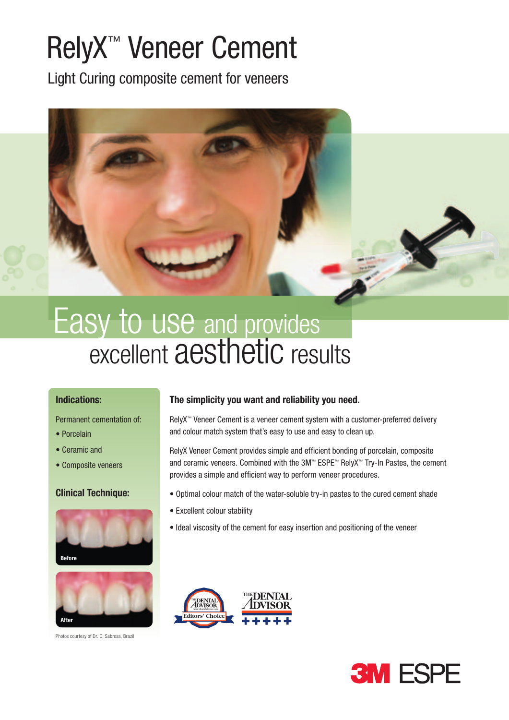# RelyX™ Veneer Cement

Light Curing composite cement for veneers



# excellent aesthetic results Easy to use and provides

#### Indications:

Permanent cementation of:

- Porcelain
- Ceramic and
- Composite veneers

#### **Clinical Technique:**





Photos courtesy of Dr. C. Sabrosa, Brazil

### The simplicity you want and reliability you need.

RelyX™ Veneer Cement is a veneer cement system with a customer-preferred delivery and colour match system that's easy to use and easy to clean up.

RelyX Veneer Cement provides simple and efficient bonding of porcelain, composite and ceramic veneers. Combined with the 3M™ ESPE™ RelyX™ Try-In Pastes, the cement provides a simple and efficient way to perform veneer procedures.

- Optimal colour match of the water-soluble try-in pastes to the cured cement shade
- Excellent colour stability
- Ideal viscosity of the cement for easy insertion and positioning of the veneer